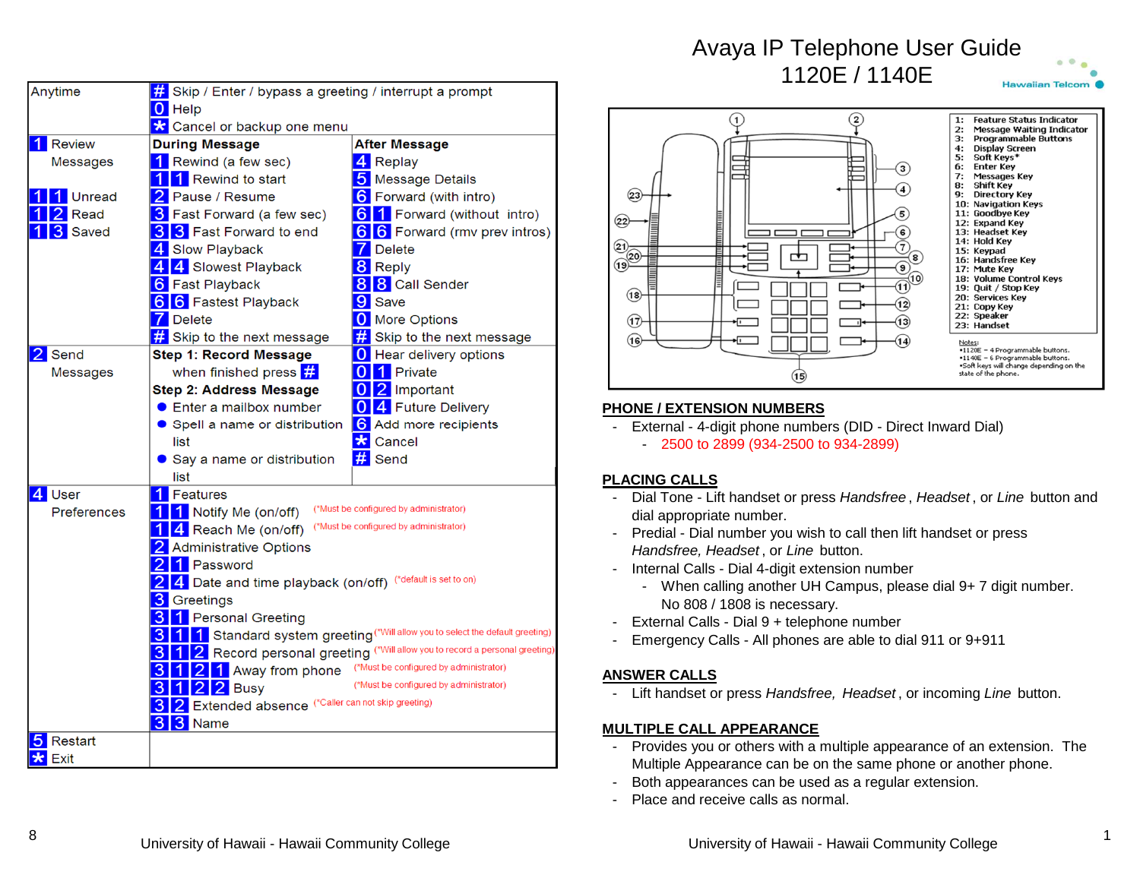# Avaya IP Telephone User Guide

1120E / 1140E



| Anytime     | $#$ Skip / Enter / bypass a greeting / interrupt a prompt                   |
|-------------|-----------------------------------------------------------------------------|
|             | <b>0</b> Help                                                               |
|             | <mark>☆</mark> Cancel or backup one menu                                    |
| Review      | <b>During Message</b><br><b>After Message</b>                               |
| Messages    | 4 Replay<br>1 Rewind (a few sec)                                            |
|             | 5 Message Details<br>Rewind to start                                        |
| Unread      | 2 Pause / Resume<br>6 Forward (with intro)                                  |
| Read        | 6 1 Forward (without intro)<br><b>3</b> Fast Forward (a few sec)            |
| Saved       | 6 6 Forward (rmv prev intros)<br>3 3 Fast Forward to end                    |
|             | 7 Delete<br>4 Slow Playback                                                 |
|             | 4 4 Slowest Playback<br>8 Reply                                             |
|             | <b>6</b> Fast Playback<br>8 8 Call Sender                                   |
|             | 6 6 Fastest Playback<br>9 Save                                              |
|             | <b>0</b> More Options<br><b>7</b> Delete                                    |
|             | $#$ Skip to the next message<br>$#$ Skip to the next message                |
| 2 Send      | <b>Step 1: Record Message</b><br><b>O</b> Hear delivery options             |
| Messages    | when finished press $#$<br>0 1 Private                                      |
|             | 0 2 Important<br><b>Step 2: Address Message</b>                             |
|             | 0 4 Future Delivery<br>$\bullet$ Enter a mailbox number                     |
|             | 6 Add more recipients<br>Spell a name or distribution                       |
|             | <b>*</b> Cancel<br>list                                                     |
|             | $#$ Send<br>● Say a name or distribution                                    |
|             | list                                                                        |
| 4 User      | 1 Features                                                                  |
| Preferences | (*Must be configured by administrator)<br>1 Notify Me (on/off)              |
|             | (*Must be configured by administrator)<br>4 Reach Me (on/off)               |
|             | Administrative Options                                                      |
|             | 1 Password                                                                  |
|             | 4 Date and time playback (on/off) (*default is set to on)                   |
|             | <b>3</b> Greetings                                                          |
|             | 1 Personal Greeting                                                         |
|             | 1 Standard system greeting (*Will allow you to select the default greeting) |
|             | 2 Record personal greeting (*Will allow you to record a personal greeting)  |
|             | (*Must be configured by administrator)<br>2 1 Away from phone               |
|             | 22 Busy<br>(*Must be configured by administrator)                           |
|             | Extended absence (*Caller can not skip greeting)                            |
|             | З<br>Name<br>З                                                              |
| Restart     |                                                                             |
| <b>⊏vit</b> |                                                                             |



### **PHONE / EXTENSION NUMBERS**

- External 4-digit phone numbers (DID Direct Inward Dial)
	- 2500 to 2899 (934-2500 to 934-2899)

## **PLACING CALLS**

- Dial Tone Lift handset or press *Handsfree , Headset ,* or *Line* button and dial appropriate number.
- Predial Dial number you wish to call then lift handset or press Handsfree, Headset , or Line button.
- Internal Calls Dial 4-digit extension number
	- When calling another UH Campus, please dial 9+ 7 digit number. No 808 / 1808 is necessary.
- External Calls Dial 9 + telephone number
- Emergency Calls All phones are able to dial 911 or 9+911-

## **ANSWER CALLS**

- Lift handset or press *Handsfree, Headset* , or incoming *Line* button.

## **MULTIPLE CALL APPEARANCE**

- Provides you or others with a multiple appearance of an extension. The-Multiple Appearance can be on the same phone or another phone.
- -Both appearances can be used as a regular extension.
- Place and receive calls as normal.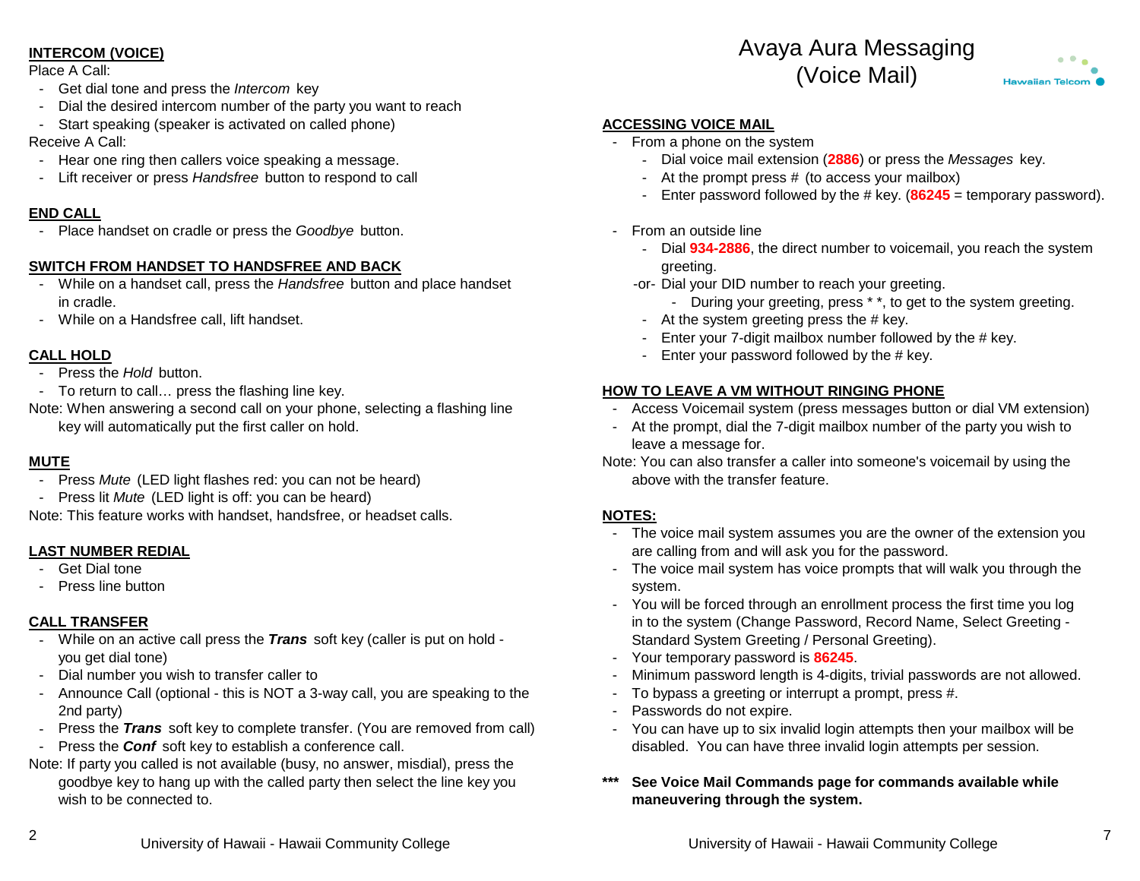## **INTERCOM (VOICE)**

Place A Call:

- Get dial tone and press the Intercom key
- Dial the desired intercom number of the party you want to reach-
- - Start speaking (speaker is activated on called phone) - From a phone on the systemReceive A Call:
- Hear one ring then callers voice speaking a message. -
- Lift receiver or press *Handsfree* button to respond to call  **At the prompt press #** (to access your mailbox)

## **END CALL**

- Place handset on cradle or press the Goodbye button. The same contract the set of the set of the line

## **SWITCH FROM HANDSET TO HANDSFREE AND BACK**

- WITCH FROM HANDSET TO HANDSFREE AND BACK<br>- While on a handset call, press the *Handsfree* button and place handset -or- Dial your DID number to reach your greeting. in cradle.
- While on a Handsfree call, lift handset.

# **CALL HOLD**

- Press the *Hold* button.
- To return to call... press the flashing line key.
- Note: When answering a second call on your phone, selecting a flashing line key will automatically put the first caller on hold.

# **MUTE**

- Press Mute (LED light flashes red: you can not be heard) above with the transfer feature.
- Press lit Mute (LED light is off: you can be heard)

Note: This feature works with handset, handsfree, or headset calls.

# **LAST NUMBER REDIAL**

- Get Dial tone
- Press line button

# **CALL TRANSFER**

- While on an active call press the **Trans** soft key (caller is put on hold Standard System Greeting / Personal Greeting). you get dial tone)
- Dial number you wish to transfer caller to
- Announce Call (optional this is NOT a 3-way call, you are speaking to the To bypass a greeting or interrupt a prompt, press #. 2nd party)
- Press the Trans soft key to complete transfer. (You are removed from call)
- -
- Note: If party you called is not available (busy, no answer, misdial), press the goodbye key to hang up with the called party then select the line key youwish to be connected to.

# Avaya Aura Messaging (Voice Mail)



# **ACCESSING VOICE MAIL**

- - Dial voice mail extension (**2886**) or press the Messages key.
	-
	- Enter password followed by the # key. (**<sup>86245</sup>** = temporary password).
- - Dial **934-2886**, the direct number to voicemail, you reach the system
	- - During your greeting, press \* \*, to get to the system greeting.
	- At the system greeting press the  $#$  key.
	- Enter your 7-digit mailbox number followed by the # key.
	- Enter your password followed by the # key.

# **HOW TO LEAVE A VM WITHOUT RINGING PHONE**

- Access Voicemail system (press messages button or dial VM extension)
- At the prompt, dial the 7-digit mailbox number of the party you wish toleave a message for.
- E<br>Note: You can also transfer a caller into someone's voicemail by using the

# **NOTES:**

- The voice mail system assumes you are the owner of the extension youare calling from and will ask you for the password.
- The voice mail system has voice prompts that will walk you through the system. n system. The system of the system of the system of the system of the system of the system of the system of the  $\sim$
- You will be forced through an enrollment process the first time you log in to the system (Change Password, Record Name, Select Greeting - -
	- Your temporary password is **86245**.
	- Minimum password length is 4-digits, trivial passwords are not allowed.<br>- To bypass a greeting or interrupt a prompt, press #.
	-
	- Passwords do not expire.
	- You can have up to six invalid login attempts then your mailbox will be Press the **Conf** soft key to establish a conference call. disabled. You can have three invalid login attempts per session.
		- See Voice Mail Commands page for commands available while **maneuvering through the system.**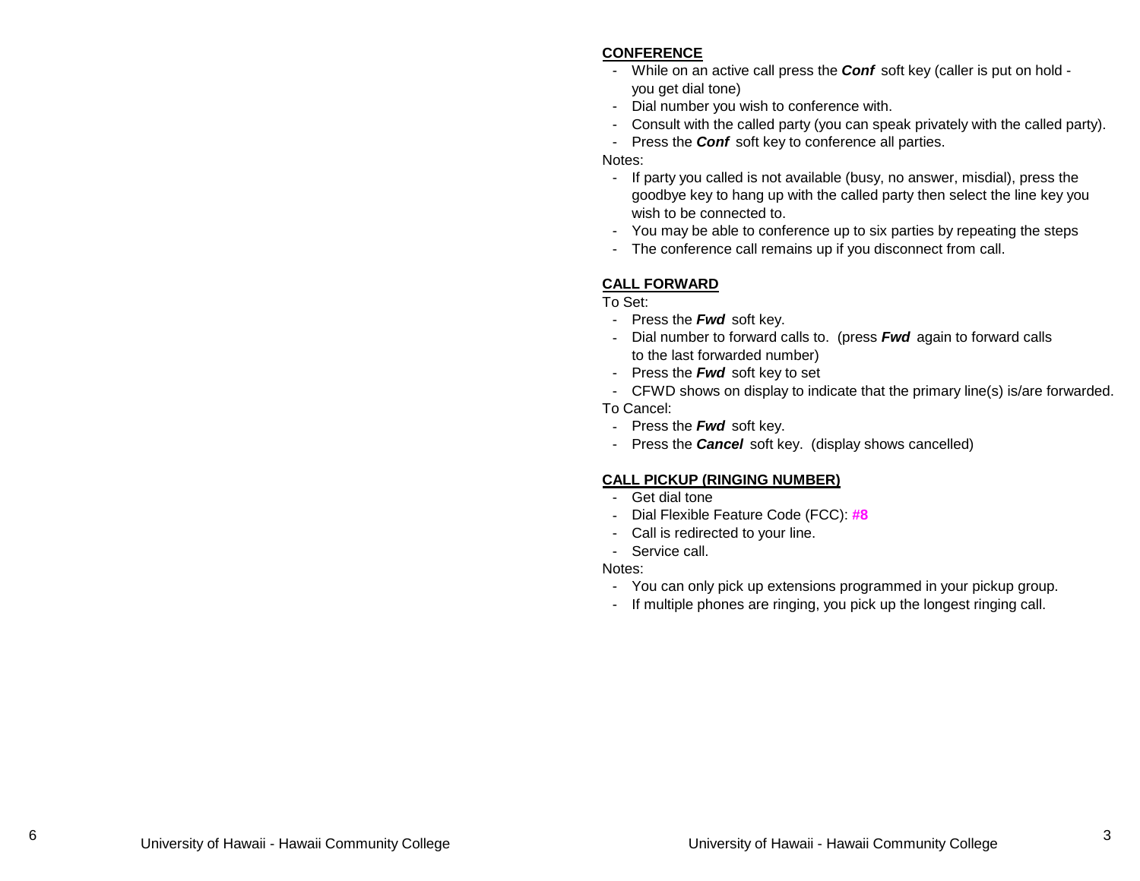#### **CONFERENCE**

- While on an active call press the **Conf** soft key (caller is put on hold you get dial tone)
- Dial number you wish to conference with.
- Consult with the called party (you can speak privately with the called party).
- Press the **Conf** soft key to conference all parties.

#### Notes:

- If party you called is not available (busy, no answer, misdial), press the goodbye key to hang up with the called party then select the line key youwish to be connected to.
- You may be able to conference up to six parties by repeating the steps
- The conference call remains up if you disconnect from call.

## **CALL FORWARD**

To Set:

- Press the **Fwd** soft key.
- Dial number to forward calls to. (press **Fwd** again to forward callsto the last forwarded number)
- Press the **Fwd** soft key to set
- CFWD shows on display to indicate that the primary line(s) is/are forwarded.

To Cancel:

- Press the **Fwd** soft key.
- Press the **Cancel** soft key. (display shows cancelled)

# **CALL PICKUP (RINGING NUMBER)**

- Get dial tone
- Dial Flexible Feature Code (FCC): **#8**
- Call is redirected to your line.
- Service call.

Notes:

- You can only pick up extensions programmed in your pickup group.
- If multiple phones are ringing, you pick up the longest ringing call.